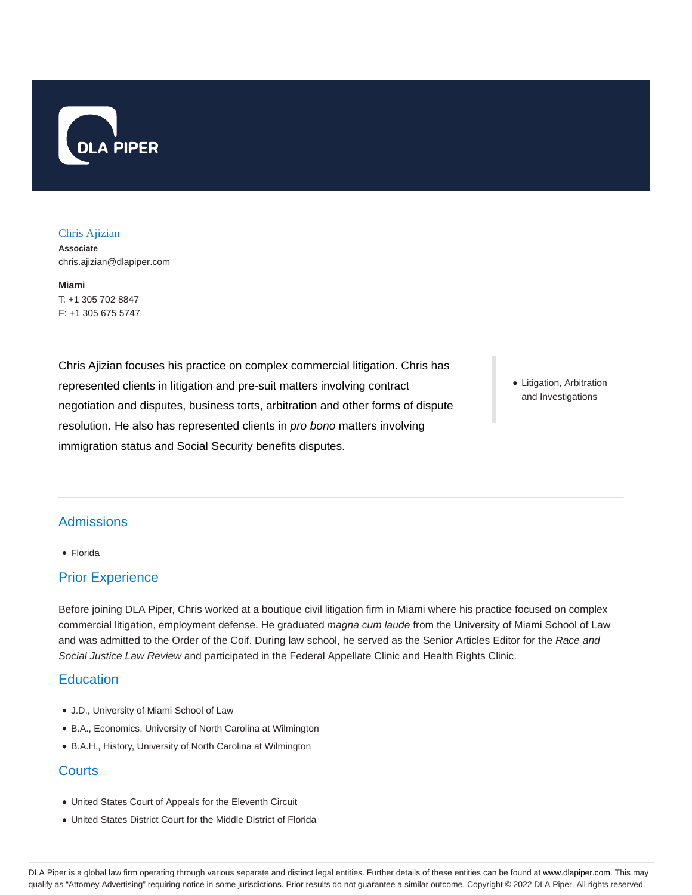

### Chris Ajizian

**Associate** chris.ajizian@dlapiper.com

**Miami** T: +1 305 702 8847 F: +1 305 675 5747

Chris Ajizian focuses his practice on complex commercial litigation. Chris has represented clients in litigation and pre-suit matters involving contract negotiation and disputes, business torts, arbitration and other forms of dispute resolution. He also has represented clients in *pro bono* matters involving immigration status and Social Security benefits disputes.

Litigation, Arbitration and Investigations

# **Admissions**

• Florida

# Prior Experience

Before joining DLA Piper, Chris worked at a boutique civil litigation firm in Miami where his practice focused on complex commercial litigation, employment defense. He graduated magna cum laude from the University of Miami School of Law and was admitted to the Order of the Coif. During law school, he served as the Senior Articles Editor for the Race and Social Justice Law Review and participated in the Federal Appellate Clinic and Health Rights Clinic.

### **Education**

- J.D., University of Miami School of Law
- B.A., Economics, University of North Carolina at Wilmington
- B.A.H., History, University of North Carolina at Wilmington

# **Courts**

- United States Court of Appeals for the Eleventh Circuit
- United States District Court for the Middle District of Florida